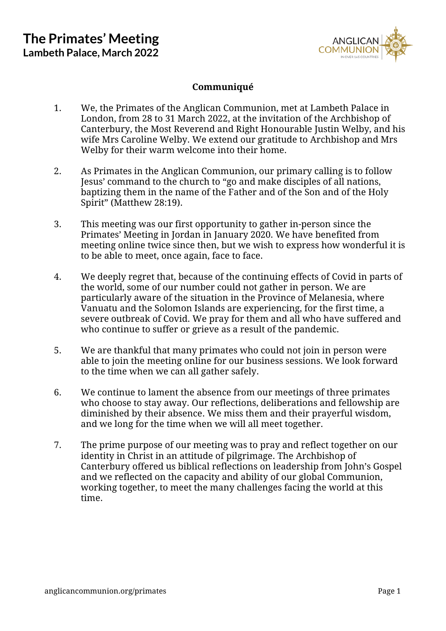

## **Communiqué**

- 1. We, the Primates of the Anglican Communion, met at Lambeth Palace in London, from 28 to 31 March 2022, at the invitation of the Archbishop of Canterbury, the Most Reverend and Right Honourable Justin Welby, and his wife Mrs Caroline Welby. We extend our gratitude to Archbishop and Mrs Welby for their warm welcome into their home.
- 2. As Primates in the Anglican Communion, our primary calling is to follow Jesus' command to the church to "go and make disciples of all nations, baptizing them in the name of the Father and of the Son and of the Holy Spirit" (Matthew 28:19).
- 3. This meeting was our first opportunity to gather in-person since the Primates' Meeting in Jordan in January 2020. We have benefited from meeting online twice since then, but we wish to express how wonderful it is to be able to meet, once again, face to face.
- 4. We deeply regret that, because of the continuing effects of Covid in parts of the world, some of our number could not gather in person. We are particularly aware of the situation in the Province of Melanesia, where Vanuatu and the Solomon Islands are experiencing, for the first time, a severe outbreak of Covid. We pray for them and all who have suffered and who continue to suffer or grieve as a result of the pandemic.
- 5. We are thankful that many primates who could not join in person were able to join the meeting online for our business sessions. We look forward to the time when we can all gather safely.
- 6. We continue to lament the absence from our meetings of three primates who choose to stay away. Our reflections, deliberations and fellowship are diminished by their absence. We miss them and their prayerful wisdom, and we long for the time when we will all meet together.
- 7. The prime purpose of our meeting was to pray and reflect together on our identity in Christ in an attitude of pilgrimage. The Archbishop of Canterbury offered us biblical reflections on leadership from John's Gospel and we reflected on the capacity and ability of our global Communion, working together, to meet the many challenges facing the world at this time.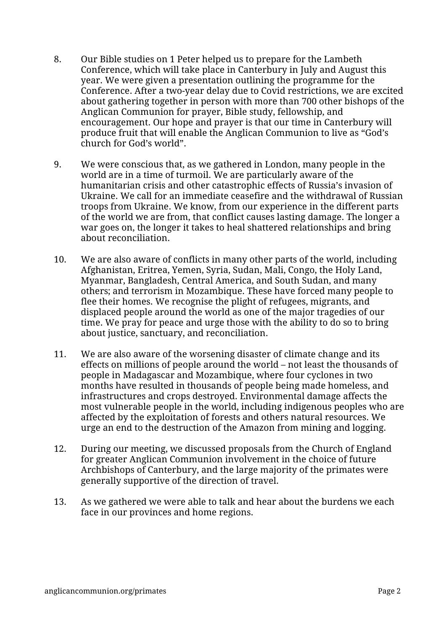- 8. Our Bible studies on 1 Peter helped us to prepare for the Lambeth Conference, which will take place in Canterbury in July and August this year. We were given a presentation outlining the programme for the Conference. After a two-year delay due to Covid restrictions, we are excited about gathering together in person with more than 700 other bishops of the Anglican Communion for prayer, Bible study, fellowship, and encouragement. Our hope and prayer is that our time in Canterbury will produce fruit that will enable the Anglican Communion to live as "God's church for God's world".
- 9. We were conscious that, as we gathered in London, many people in the world are in a time of turmoil. We are particularly aware of the humanitarian crisis and other catastrophic effects of Russia's invasion of Ukraine. We call for an immediate ceasefire and the withdrawal of Russian troops from Ukraine. We know, from our experience in the different parts of the world we are from, that conflict causes lasting damage. The longer a war goes on, the longer it takes to heal shattered relationships and bring about reconciliation.
- 10. We are also aware of conflicts in many other parts of the world, including Afghanistan, Eritrea, Yemen, Syria, Sudan, Mali, Congo, the Holy Land, Myanmar, Bangladesh, Central America, and South Sudan, and many others; and terrorism in Mozambique. These have forced many people to flee their homes. We recognise the plight of refugees, migrants, and displaced people around the world as one of the major tragedies of our time. We pray for peace and urge those with the ability to do so to bring about justice, sanctuary, and reconciliation.
- 11. We are also aware of the worsening disaster of climate change and its effects on millions of people around the world – not least the thousands of people in Madagascar and Mozambique, where four cyclones in two months have resulted in thousands of people being made homeless, and infrastructures and crops destroyed. Environmental damage affects the most vulnerable people in the world, including indigenous peoples who are affected by the exploitation of forests and others natural resources. We urge an end to the destruction of the Amazon from mining and logging.
- 12. During our meeting, we discussed proposals from the Church of England for greater Anglican Communion involvement in the choice of future Archbishops of Canterbury, and the large majority of the primates were generally supportive of the direction of travel.
- 13. As we gathered we were able to talk and hear about the burdens we each face in our provinces and home regions.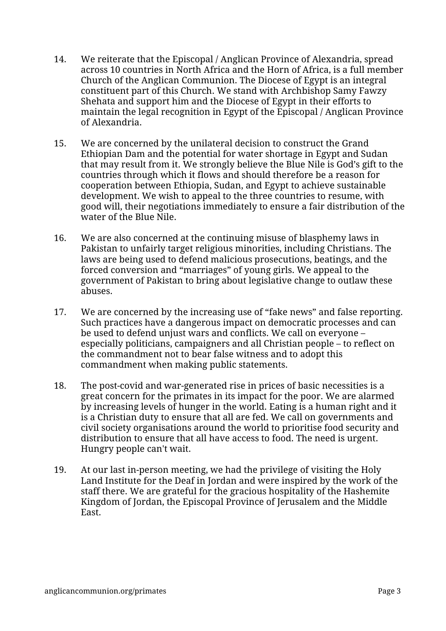- 14. We reiterate that the Episcopal / Anglican Province of Alexandria, spread across 10 countries in North Africa and the Horn of Africa, is a full member Church of the Anglican Communion. The Diocese of Egypt is an integral constituent part of this Church. We stand with Archbishop Samy Fawzy Shehata and support him and the Diocese of Egypt in their efforts to maintain the legal recognition in Egypt of the Episcopal / Anglican Province of Alexandria.
- 15. We are concerned by the unilateral decision to construct the Grand Ethiopian Dam and the potential for water shortage in Egypt and Sudan that may result from it. We strongly believe the Blue Nile is God's gift to the countries through which it flows and should therefore be a reason for cooperation between Ethiopia, Sudan, and Egypt to achieve sustainable development. We wish to appeal to the three countries to resume, with good will, their negotiations immediately to ensure a fair distribution of the water of the Blue Nile.
- 16. We are also concerned at the continuing misuse of blasphemy laws in Pakistan to unfairly target religious minorities, including Christians. The laws are being used to defend malicious prosecutions, beatings, and the forced conversion and "marriages" of young girls. We appeal to the government of Pakistan to bring about legislative change to outlaw these abuses.
- 17. We are concerned by the increasing use of "fake news" and false reporting. Such practices have a dangerous impact on democratic processes and can be used to defend unjust wars and conflicts. We call on everyone – especially politicians, campaigners and all Christian people – to reflect on the commandment not to bear false witness and to adopt this commandment when making public statements.
- 18. The post-covid and war-generated rise in prices of basic necessities is a great concern for the primates in its impact for the poor. We are alarmed by increasing levels of hunger in the world. Eating is a human right and it is a Christian duty to ensure that all are fed. We call on governments and civil society organisations around the world to prioritise food security and distribution to ensure that all have access to food. The need is urgent. Hungry people can't wait.
- 19. At our last in-person meeting, we had the privilege of visiting the Holy Land Institute for the Deaf in Jordan and were inspired by the work of the staff there. We are grateful for the gracious hospitality of the Hashemite Kingdom of Jordan, the Episcopal Province of Jerusalem and the Middle East.